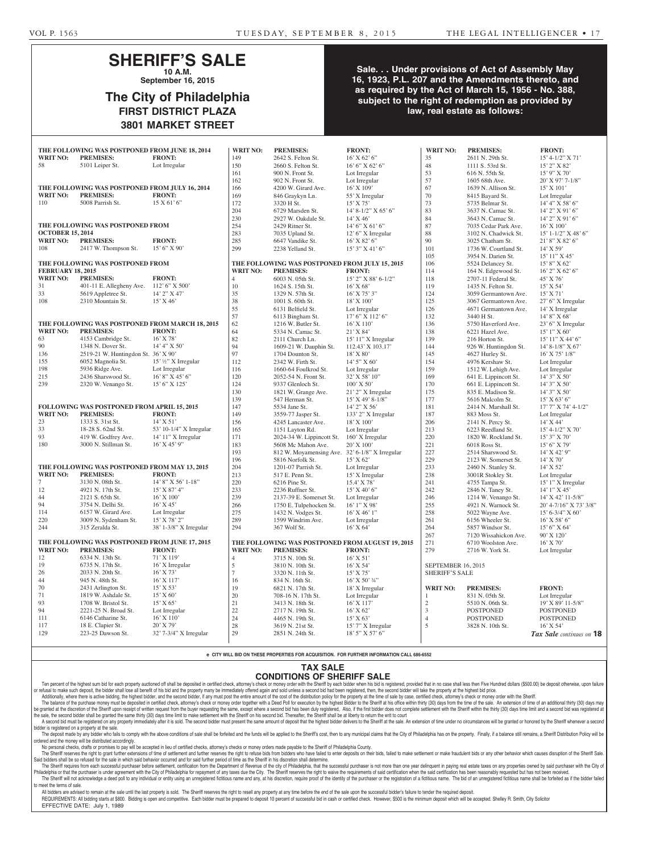### **SHERIFF'S SALE 10 A.M.**

**September 16, 2015**

# **The City of Philadelphia FIRST DISTRICT PLAZA 3801 MARKET STREET**

### **Sale. . . Under provisions of Act of Assembly May 16, 1923, P.L. 207 and the Amendments thereto, and as required by the Act of March 15, 1956 - No. 388, subject to the right of redemption as provided by law, real estate as follows:**

| <b>WRIT NO:</b>                                | THE FOLLOWING WAS POSTPONED FROM JUNE 18, 2014<br><b>PREMISES:</b>  | <b>FRONT:</b>           | <b>WRIT NO:</b><br>149                         | <b>PREMISES:</b><br>2642 S. Felton St.                             | <b>FRONT:</b><br>$16'$ X 62' 6"                | <b>WRIT NO:</b><br>35 | <b>PREMISES:</b><br>2611 N. 29th St.       | <b>FRONT:</b><br>$15' 4 - 1/2'' X 71'$ |
|------------------------------------------------|---------------------------------------------------------------------|-------------------------|------------------------------------------------|--------------------------------------------------------------------|------------------------------------------------|-----------------------|--------------------------------------------|----------------------------------------|
| 58                                             | 5101 Leiper St.                                                     | Lot Irregular           | 150                                            | 2660 S. Felton St.                                                 | 16' 6'' X 62' 6''                              | 48                    | 1111 S. 53rd St.                           | 15' 2" X 82'                           |
|                                                |                                                                     |                         | 161                                            | 900 N. Front St.                                                   | Lot Irregular                                  | 53                    | 616 N. 55th St.                            | $15'$ 9" X 70'                         |
|                                                |                                                                     |                         | 162                                            | 902 N. Front St.                                                   | Lot Irregular                                  | 57                    | 1605 68th Ave.                             | 20' X 97' 7-1/8"                       |
|                                                | THE FOLLOWING WAS POSTPONED FROM JULY 16, 2014                      |                         | 166                                            | 4200 W. Girard Ave.                                                | $16'$ X $109'$                                 | 67                    | 1639 N. Allison St.                        | $15'$ X $101'$                         |
| <b>WRIT NO:</b>                                | <b>PREMISES:</b>                                                    | <b>FRONT:</b>           | 169                                            | 846 Graykyn Ln.                                                    | 55' X Irregular                                | 70                    | 8415 Bayard St.                            | Lot Irregular                          |
| 110                                            | 5008 Parrish St.                                                    | 15 X 61' 6'             | 172                                            | 3320 H St.                                                         | $15'$ X 75'                                    | 73                    | 5735 Belmar St.                            | 14' 4'' X 58' 6''                      |
|                                                |                                                                     |                         | 204                                            | 6729 Marsden St.                                                   | 14' 8-1/2" X 65' 6"                            | 83                    | 3637 N. Camac St.                          | $14'$ 2" X 91' 6"                      |
|                                                |                                                                     |                         | 230                                            | 2927 W. Oakdale St.                                                | $14'$ X 46'                                    | 84                    | 3643 N. Camac St.                          | $14'$ 2" X 91' 6"                      |
|                                                | THE FOLLOWING WAS POSTPONED FROM                                    |                         | 254                                            | 2429 Ritner St.                                                    | $14'6''$ X 61' 6"                              | 87                    | 7035 Cedar Park Ave.                       | $16'$ X $100'$                         |
| <b>OCTOBER 15, 2014</b>                        |                                                                     |                         | 283                                            | 7035 Upland St.                                                    | $12'$ 6" X Irregular                           | 88                    | 3102 N. Chadwick St.                       | $15'$ 1-1/2" X 48' 6"                  |
| <b>WRIT NO:</b>                                | <b>PREMISES:</b>                                                    | <b>FRONT:</b>           | 285                                            | 6647 Vandike St.                                                   | $16'$ X 82' 6"                                 | 90                    | 3025 Chatham St.                           | 21' 8" X 82' 6"                        |
| 108                                            | 2417 W. Thompson St.                                                | $15'6''$ X 90'          | 299                                            | 2238 Yelland St.                                                   | $15'3''$ X 41' 6"                              | 101                   | 1736 W. Courtland St.                      | $14'$ X 59'                            |
|                                                |                                                                     |                         |                                                |                                                                    |                                                | 105                   | 3954 N. Darien St.                         | 15' 11'' X 45'                         |
|                                                | THE FOLLOWING WAS POSTPONED FROM                                    |                         | THE FOLLOWING WAS POSTPONED FROM JULY 15, 2015 |                                                                    |                                                | 106                   | 5524 Delancey St.                          | $15'8''$ X 62'                         |
| <b>FEBRUARY 18, 2015</b>                       |                                                                     |                         | <b>WRIT NO:</b>                                | <b>PREMISES:</b>                                                   | <b>FRONT:</b>                                  | 114                   | 164 N. Edgewood St.                        | $16'$ 2" X 62' 6"                      |
| <b>WRIT NO:</b>                                | <b>PREMISES:</b>                                                    | <b>FRONT:</b>           | 4                                              | 6003 N. 05th St.                                                   | 15' 2" X 88' 6-1/2"                            | 118                   | 2707-11 Federal St.                        | 45' X 76'                              |
| 31                                             | 401-11 E. Allegheny Ave. 112' 6" X 500"                             |                         | 10                                             | 1624 S. 15th St.                                                   | $16'$ X 68'                                    | 119                   | 1435 N. Felton St.                         | $15'$ X 54'                            |
| 33                                             | 5619 Appletree St.                                                  | 14' 2" X 47'            | 35                                             | 1329 N. 57th St.                                                   | $16'$ X 75' 3"                                 | 124                   | 3059 Germantown Ave.                       | $15'$ X 71'                            |
| 108                                            | 2310 Mountain St.                                                   | 15' X 46'               | 38                                             | 1001 S. 60th St.                                                   | 18' X 100'                                     | 125                   | 3067 Germantown Ave.                       | 27' 6" X Irregular                     |
|                                                |                                                                     |                         | 55                                             | 6131 Belfield St.                                                  | Lot Irregular                                  | 126                   | 4671 Germantown Ave.                       | 14' X Irregular                        |
|                                                |                                                                     |                         | 57                                             | 6113 Bingham St.                                                   | 17' 6" X 112' 6"                               | 132                   | 3440 H St.                                 | 14' 8" X 68'                           |
| <b>WRIT NO:</b>                                | THE FOLLOWING WAS POSTPONED FROM MARCH 18, 2015<br><b>PREMISES:</b> | <b>FRONT:</b>           | 62<br>64                                       | 1216 W. Butler St.                                                 | $16'$ X $110'$                                 | 136                   | 5750 Haverford Ave.                        | 23' 6" X Irregular                     |
| 63                                             | 4153 Cambridge St.                                                  | 16' X 78'               | 82                                             | 5334 N. Camac St.                                                  | 21' X 84'                                      | 138                   | 6221 Hazel Ave.                            | $15'1''$ X 60'<br>15' 11" X 44' 6"     |
| 90                                             | 1348 N. Dover St.                                                   | 14' 4" X 50'            | 94                                             | 2111 Church Ln.<br>1609-21 W. Dauphin St.                          | 15' 11" X Irregular<br>112.43' X 103.17'       | 139<br>144            | 216 Horton St.<br>926 W. Huntingdon St.    | 14' 8-1/8" X 67'                       |
| 136                                            | 2519-21 W. Huntingdon St. 36' X 90'                                 |                         | 97                                             | 1704 Dounton St.                                                   | $18'$ X $80'$                                  | 145                   | 4627 Hurley St.                            | $16'$ X 75' $1/8''$                    |
| 155                                            | 6052 Magnolia St.                                                   | 15' 1/2" X Irregular    | 112                                            | 2342 W. Firth St.                                                  | $14'5''$ X 60'                                 | 154                   | 4976 Kershaw St.                           | Lot Irregular                          |
| 198                                            | 5936 Ridge Ave.                                                     | Lot Irregular           | 116                                            | 1660-64 Foulkrod St.                                               | Lot Irregular                                  | 159                   | 1512 W. Lehigh Ave.                        | Lot Irregular                          |
| 215                                            | 2436 Sharswood St.                                                  | $16'8''$ X 45' 6"       | 120                                            | 2052-54 N. Front St.                                               | 32' X 58' 10"                                  | 169                   | 641 E. Lippincott St.                      | $14'3''$ X 50'                         |
| 239                                            | 2320 W. Venango St.                                                 | 15' 6'' X 125'          | 124                                            | 9337 Glenloch St.                                                  | $100'$ X 50'                                   | 170                   | 661 E. Lippincott St.                      | $14'3''$ X 50'                         |
|                                                |                                                                     |                         | 130                                            | 1821 W. Grange Ave.                                                | $21'$ 2" X Irregular                           | 175                   | 835 E. Madison St.                         | $14'3''$ X 50'                         |
|                                                |                                                                     |                         | 139                                            | 547 Herman St.                                                     | $15'$ X 49' 8-1/8"                             | 177                   | 5616 Malcolm St.                           | 15' X 63' 6''                          |
|                                                | FOLLOWING WAS POSTPONED FROM APRIL 15, 2015                         |                         | 147                                            | 5534 Jane St.                                                      | 14' 2" X 56'                                   | 181                   | 2414 N. Marshall St.                       | $17'7''$ X 74' 4-1/2"                  |
| <b>WRIT NO:</b>                                | <b>PREMISES:</b>                                                    | <b>FRONT:</b>           | 149                                            | 3559-77 Jasper St.                                                 | 133' 2" X Irregular                            | 187                   | 883 Moss St.                               | Lot Irregular                          |
| 23                                             | 1333 S. 31st St.                                                    | $14'$ X 51'             | 156                                            | 4245 Lancaster Ave.                                                | 18' X 100'                                     | 206                   | 2141 N. Percy St.                          | $14'$ X 44'                            |
| 33                                             | 18-28 S. 62nd St.                                                   | 53' 10-1/4" X Irregular | 165                                            | 1151 Layton Rd.                                                    | Lot Irregular                                  | 213                   | 6223 Reedland St.                          | 15' 4-1/2" X 70'                       |
| 93                                             | 419 W. Godfrey Ave.                                                 | 14' 11" X Irregular     | 171                                            | 2024-34 W. Lippincott St.                                          | 160' X Irregular                               | 220                   | 1820 W. Rockland St.                       | $15'3''$ X 70'                         |
| 180                                            | 3000 N. Stillman St.                                                | $16'$ X 45' 9"          | 183                                            | 5608 Mc Mahon Ave.                                                 | 20' X 100'                                     | 221                   | 6018 Ross St.                              | $15'6''$ X 79'                         |
|                                                |                                                                     |                         | 193<br>196                                     | 812 W. Moyamensing Ave. 32' 6-1/8" X Irregular<br>5816 Norfolk St. | 15' X 62'                                      | 227<br>229            | 2514 Sharswood St.<br>2123 W. Somerset St. | $14'$ X 42' 9"<br>$14'$ X 70'          |
|                                                | THE FOLLOWING WAS POSTPONED FROM MAY 13, 2015                       |                         | 204                                            | 1201-07 Parrish St.                                                | Lot Irregular                                  | 233                   | 2460 N. Stanley St.                        | 14' X 52'                              |
| <b>WRIT NO:</b>                                | <b>PREMISES:</b>                                                    | <b>FRONT:</b>           | 213                                            | 517 E. Penn St.                                                    | 15' X Irregular                                | 238                   | 3001R Stokley St.                          | Lot Irregular                          |
| $\tau$                                         | 3130 N. 08th St.                                                    | $14'$ 8" X 56' 1-18"    | 220                                            | 6216 Pine St.                                                      | 15.4' X 78'                                    | 241                   | 4755 Tampa St.                             | 15' 1" X Irregular                     |
| 12                                             | 4921 N. 17th St.                                                    | 15' X 87' 4"            | 233                                            | 2236 Ruffner St.                                                   | $15'$ X 40' 6"                                 | 242                   | 2846 N. Taney St.                          | 14' 1" X 45'                           |
| 44                                             | 2121 S. 65th St.                                                    | 16' X 100'              | 239                                            | 2137-39 E. Somerset St.                                            | Lot Irregular                                  | 246                   | 1214 W. Venango St.                        | 14' X 42' 11-5/8"                      |
| 94                                             | 3754 N. Delhi St.                                                   | 16' X 45'               | 266                                            | 1750 E. Tulpehocken St.                                            | $16'1''$ X 98'                                 | 255                   | 4921 N. Warnock St.                        | 20' 4-7/16" X 73' 3/8"                 |
| 114                                            | 6157 W. Girard Ave.                                                 | Lot Irregular           | 275                                            | 1432 N. Vodges St.                                                 | $16'$ X 46' 1"                                 | 258                   | 5022 Wayne Ave.                            | $15' 6 - 3/4'' X 60'$                  |
| 220                                            | 3009 N. Sydenham St.                                                | 15' X 78' 2"            | 289                                            | 1599 Windrim Ave.                                                  | Lot Irregular                                  | 261                   | 6156 Wheeler St.                           | $16'$ X 58' 6"                         |
| 244                                            | 315 Zeralda St.                                                     | 38' 1-3/8" X Irregular  | 294                                            | 367 Wolf St.                                                       | $16'$ X 64'                                    | 264                   | 5857 Windsor St.                           | $15'6''$ X 64'                         |
|                                                |                                                                     |                         |                                                |                                                                    |                                                | 267                   | 7120 Wissahickon Ave.                      | 90' X 120'                             |
| THE FOLLOWING WAS POSTPONED FROM JUNE 17, 2015 |                                                                     |                         |                                                | THE FOLLOWING WAS POSTPONED FROM AUGUST 19, 2015                   |                                                | 271                   | 6710 Woolston Ave.                         | 16' X 70'                              |
| <b>WRIT NO:</b>                                | <b>PREMISES:</b>                                                    | <b>FRONT:</b>           | <b>WRIT NO:</b>                                | <b>PREMISES:</b>                                                   | <b>FRONT:</b>                                  | 279                   | 2716 W. York St.                           | Lot Irregular                          |
| 12                                             | 6334 N. 13th St.                                                    | 71' X 119'              | 4                                              | 3715 N. 10th St.                                                   | $16'$ X 51'                                    |                       |                                            |                                        |
| 19                                             | 6735 N. 17th St.                                                    | 16' X Irregular         | $\mathfrak s$                                  | 3810 N. 10th St.                                                   | $16'$ X 54'                                    | SEPTEMBER 16, 2015    |                                            |                                        |
| 26                                             | 2033 N. 20th St.<br>945 N. 48th St.                                 | 16' X 73'<br>16' X 117' | $\tau$<br>16                                   | 3320 N. 11th St.                                                   | 15' X 75'                                      | <b>SHERIFF'S SALE</b> |                                            |                                        |
| 44<br>70                                       | 2431 Arlington St.                                                  | 15' X 53'               | 19                                             | 834 N. 16th St.<br>6821 N. 17th St.                                | $16'$ X 50' $\frac{3}{4}$ "<br>18' X Irregular | <b>WRIT NO:</b>       | <b>PREMISES:</b>                           | <b>FRONT:</b>                          |
| 71                                             | 1819 W. Ashdale St.                                                 | 15' X 60'               | 20                                             | 708-16 N. 17th St.                                                 | Lot Irregular                                  |                       | 831 N. 05th St.                            | Lot Irregular                          |
| 93                                             | 1708 W. Bristol St.                                                 | 15' X 65'               | $21\,$                                         | 3413 N. 18th St.                                                   | 16' X 117'                                     | $\overline{2}$        | 5510 N. 06th St.                           | 19' X 89' 11-5/8"                      |
| 94                                             | 2221-25 N. Broad St.                                                | Lot Irregular           | $22\,$                                         | 2717 N. 19th St.                                                   | $16'$ X 62'                                    | 3                     | <b>POSTPONED</b>                           | <b>POSTPONED</b>                       |
| 111                                            | 6146 Catharine St.                                                  | 16' X 110'              | $24\,$                                         | 4465 N. 19th St.                                                   | 15' X 63'                                      | $\overline{4}$        | POSTPONED                                  | <b>POSTPONED</b>                       |
| 117                                            | 18 E. Clapier St.                                                   | 20' X 79'               | $28\,$                                         | 3619 N. 21st St.                                                   | 15' 7" X Irregular                             | 5                     | 3828 N. 10th St.                           | $16'$ X 54'                            |
| 129                                            | 223-25 Dawson St.                                                   | 32' 7-3/4" X Irregular  | $29\,$                                         | 2851 N. 24th St.                                                   | 18' 5" X 57' 6"                                |                       |                                            | Tax Sale continues on 18               |

**e CITY WILL BID ON THESE PROPERTIES FOR ACQUISITION. FOR FURTHER INFORMATION CALL 686-6552**

#### **TAX SALE**

### **CONDITIONS OF SHERIFF SALE**

Ten percent of the highest sum bid for each property auctioned off shall be deposited in certified check, attorney's check or money order with the Sheriff by each bidder when his bid is registered, provided that in no case or refusal to make such deposit, the bidder shall lose all benefit of his bid and the property many be immediately offered again and sold unless a second bid had been registered, then, the second bidder will take the prope Additionally, where there is active bidding, the highest bidder, and the second bidder, if any must post the entire amount of the cost of the distribution policy for the property at the time of sale by case, certified chec

The balance of the purchase money must be deposited in certified check, attorney's check or money order together with a Deed Poll for execution by the highest Bidder to the Sheriff at his office within thirty (30) days fro iranted at the discretion of the Sheriff upon receipt of written request from the buyer requesting the same, except where a second bid has been duly registered. Also, if the first bidder does not complete settlement with t the sale, the second bidder shall be granted the same thirty (30) days time limit to make settlement with the Sheriff on his second bid. Thereafter, the Sheriff shall be at liberty to return the writ to court A second bid must be registered on any property immediately after it is sold. The second bidder must present the same amount of deposit that the highest bidder delivers to the Sheriff at the sale. An extension of time unde

bidder is registered on a property at the sale. The deposit made by any bidder who fails to comply with the above conditions of sale shall be forfeited and the funds will be applied to the Sheriff's cost, then to any municipal claims that the City of Philadelphia has on ordered and the money will be distributed accordingly.

No personal checks, drafts or promises to pay will be accepted in lieu of certified checks, attorney's checks or money orders made payable to the Sheriff of Philadelphia County. The Sheriff reserves the right to grant further extensions of time of settlement and further reserves the right to refuse bids from bidders who have failed to enter deposits on their bids, failed to make settlement or make

Said bidders shall be so refused for the sale in which said behavior occurred and for said further period of time as the Sheriff in his discretion shall determine. The Sheriff requires from each successful purchaser before settlement, certification from the Department of Revenue of the city of Philadelphia, that the successful purchaser is not more than one year delinquent in paying

Philadelphia or that the purchaser is under agreement with the City of Philadelphia for repayment of any taxes due the City. The Sheriff reserves the right to waive the requirements of said certification when the said cert The Sheriff will not acknowledge a deed poll to any individual or entity using an unregistered fictitious name and any, at his discretion, require proof of the identity of the purchaser or the registration of a fictitious to meet the terms of sale.

All bidders are advised to remain at the sale until the last property is sold. The Sheriff reserves the right to resell any property at any time before the end of the sale upon the successful bidder's failure to tender the REQUIREMENTS: All bidding starts at \$800. Bidding is open and competitive. Each bidder must be prepared to deposit 10 percent of successful bid in cash or certified check. However, \$500 is the minimum deposit which will be EFFECTIVE DATE: July 1, 1989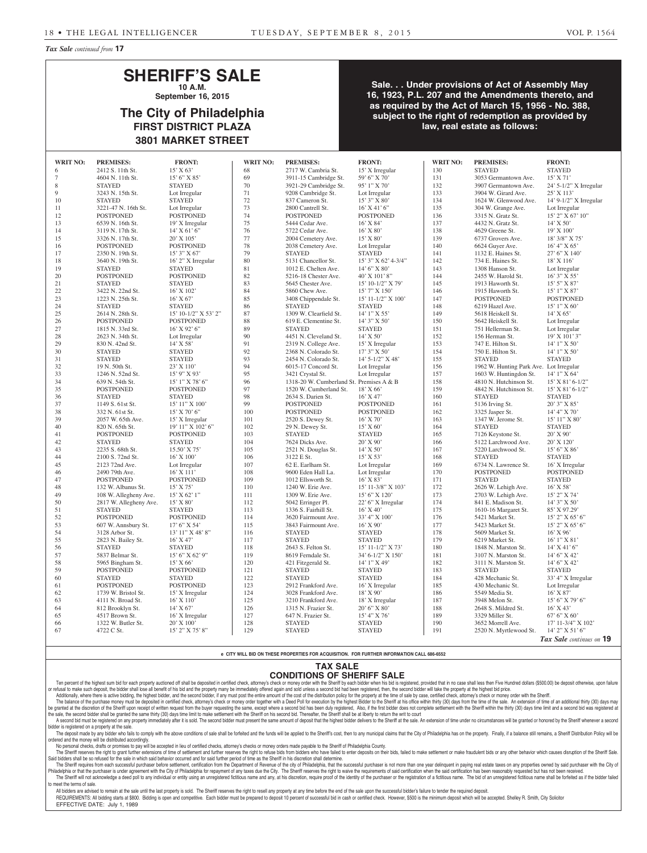*Tax Sale continued from* **17**

### **SHERIFF'S SALE 10 A.M.**

**September 16, 2015**

## **The City of Philadelphia FIRST DISTRICT PLAZA 3801 MARKET STREET**

**Sale. . . Under provisions of Act of Assembly May 16, 1923, P.L. 207 and the Amendments thereto, and as required by the Act of March 15, 1956 - No. 388, subject to the right of redemption as provided by law, real estate as follows:**

| <b>WRIT NO:</b> | <b>PREMISES:</b>       | <b>FRONT:</b>        | <b>WRIT NO:</b> | <b>PREMISES:</b>                         | <b>FRONT:</b>          | <b>WRIT NO:</b> | <b>PREMISES:</b>                        | <b>FRONT:</b>            |
|-----------------|------------------------|----------------------|-----------------|------------------------------------------|------------------------|-----------------|-----------------------------------------|--------------------------|
| 6               | 2412 S. 11th St.       | 15' X 63'            | 68              | 2717 W. Cambria St.                      | 15' X Irregular        | 130             | <b>STAYED</b>                           | <b>STAYED</b>            |
| 7               | 4604 N. 11th St.       | $15'6''$ X 85'       | 69              | 3911-15 Cambridge St.                    | 59' 6" X 70"           | 131             | 3053 Germantown Ave.                    | $15'$ X 71'              |
| 8               | <b>STAYED</b>          | <b>STAYED</b>        | 70              | 3921-29 Cambridge St.                    | 95' 1" X 70'           | 132             | 3907 Germantown Ave.                    | 24' 5-1/2" X Irregular   |
| 9               | 3243 N. 15th St.       | Lot Irregular        | 71              | 9208 Cambridge St.                       | Lot Irregular          | 133             | 3904 W. Girard Ave.                     | 25' X 113'               |
| 10              | <b>STAYED</b>          | <b>STAYED</b>        | 72              | 837 Cameron St.                          | 15' 3" X 80'           | 134             | 1624 W. Glenwood Ave.                   | 14' 9-1/2" X Irregular   |
| 11              | 3221-47 N. 16th St.    | Lot Irregular        | 73              | 2800 Cantrell St.                        | $16'$ X 41' 6"         | 135             | 304 W. Grange Ave.                      | Lot Irregular            |
| 12              | <b>POSTPONED</b>       | <b>POSTPONED</b>     | 74              | <b>POSTPONED</b>                         | <b>POSTPONED</b>       | 136             | 3315 N. Gratz St.                       | $15'$ 2" X 67' 10"       |
| 13              | 6539 N. 16th St.       | 19' X Irregular      | 75              | 5444 Cedar Ave.                          | $16'$ X 84'            | 137             | 4432 N. Gratz St.                       | 14' X 50'                |
| 14              | 3119 N. 17th St.       | $14'$ X 61' 6"       | 76              | 5722 Cedar Ave.                          | $16'$ X 80'            | 138             | 4629 Greene St.                         | 19' X 100'               |
| 15              | 3326 N. 17th St.       | 20' X 105'           | 77              | 2004 Cemetery Ave.                       | $15'$ X 80'            | 139             | 6737 Grovers Ave.                       | 18' 3/8" X 75'           |
| 16              | <b>POSTPONED</b>       | <b>POSTPONED</b>     | 78              | 2038 Cemetery Ave.                       | Lot Irregular          | 140             | 6624 Guyer Ave.                         | $16'$ 4" X 65"           |
| 17              | 2350 N. 19th St.       | $15'3''$ X 67'       | 79              | <b>STAYED</b>                            | <b>STAYED</b>          | 141             | 1132 E. Haines St.                      | 27' 6" X 140'            |
| 18              | 3640 N. 19th St.       | 16' 2" X Irregular   | 80              | 5131 Chancellor St.                      | 15' 3" X 62' 4-3/4"    | 142             | 734 E. Haines St.                       | 18' X 116'               |
| 19              | <b>STAYED</b>          | <b>STAYED</b>        | 81              | 1012 E. Chelten Ave.                     | $14'6''$ X 80'         | 143             | 1308 Hanson St.                         | Lot Irregular            |
| 20              | <b>POSTPONED</b>       | <b>POSTPONED</b>     | 82              | 5216-18 Chester Ave.                     | 40' X 101' 8"          | 144             | 2455 W. Harold St.                      | $16'3''$ X 55'           |
| 21              | <b>STAYED</b>          | <b>STAYED</b>        | 83              | 5645 Chester Ave.                        | 15' 10-1/2" X 79'      | 145             | 1913 Haworth St.                        | 15' 5" X 87'             |
| $22\,$          | 3422 N. 22nd St.       | $16'$ X $102'$       | 84              | 5860 Chew Ave.                           | $15'$ 7" X $150'$      | 146             | 1915 Haworth St.                        | 15' 1" X 87'             |
| 23              | 1223 N. 25th St.       | $16'$ X 67'          | 85              | 3408 Chippendale St.                     | 15' 11-1/2" X 100'     | 147             | <b>POSTPONED</b>                        | <b>POSTPONED</b>         |
| 24              | <b>STAYED</b>          | <b>STAYED</b>        | 86              | <b>STAYED</b>                            | <b>STAYED</b>          | 148             | 6219 Hazel Ave.                         | $15'1''$ X 60'           |
| 25              | 2614 N. 28th St.       | 15' 10-1/2" X 53' 2" | 87              | 1309 W. Clearfield St.                   | $14'1''$ X 55'         | 149             | 5618 Heiskell St.                       | $14'$ X 65'              |
| 26              | <b>POSTPONED</b>       | <b>POSTPONED</b>     | 88              | 619 E. Clementine St.                    | 14' 3" X 50'           | 150             | 5642 Heiskell St.                       | Lot Irregular            |
| 27              | 1815 N. 33rd St.       | $16'$ X 92' 6"       | 89              | <b>STAYED</b>                            | <b>STAYED</b>          | 151             | 751 Hellerman St.                       | Lot Irregular            |
| 28              | 2623 N. 34th St.       | Lot Irregular        | 90              | 4451 N. Cleveland St.                    | $14'$ X 50'            | 152             | 156 Herman St.                          | 19' X 101' 3"            |
| 29              | 830 N. 42nd St.        | $14'$ X 58'          | 91              | 2319 N. College Ave.                     | 15' X Irregular        | 153             | 747 E. Hilton St.                       | 14' 1" X 50'             |
| 30              | <b>STAYED</b>          | <b>STAYED</b>        | 92              | 2368 N. Colorado St.                     | $17'3''$ X 50'         | 154             | 750 E. Hilton St.                       | 14' 1" X 50'             |
| 31              | <b>STAYED</b>          | <b>STAYED</b>        | 93              | 2454 N. Colorado St.                     | $14'$ 5- $1/2''$ X 48' | 155             | <b>STAYED</b>                           | <b>STAYED</b>            |
| 32              | 19 N. 50th St.         | $23'$ X 110'         | 94              | 6015-17 Concord St.                      | Lot Irregular          | 156             | 1962 W. Hunting Park Ave. Lot Irregular |                          |
| 33              | 1246 N. 52nd St.       | 15' 9" X 93'         | 95              | 3421 Crystal St.                         | Lot Irregular          | 157             | 1603 W. Huntingdon St.                  | 14' 1" X 64'             |
| 34              | 639 N. 54th St.        | 15' 1" X 78' 6"      | 96              | 1318-20 W. Cumberland St. Premises A & B |                        | 158             | 4810 N. Hutchinson St.                  | 15' X 81' 6-1/2"         |
| 35              | <b>POSTPONED</b>       | <b>POSTPONED</b>     | 97              | 1520 W. Cumberland St.                   | 18' X 66'              | 159             | 4842 N. Hutchinson St.                  | 15' X 81' 6-1/2"         |
| 36              | <b>STAYED</b>          | <b>STAYED</b>        | 98              | 2634 S. Darien St.                       | $16'$ X 47'            | 160             | <b>STAYED</b>                           | <b>STAYED</b>            |
| 37              | 1149 S. 61st St.       | 15' 11" X 100'       | 99              | <b>POSTPONED</b>                         | <b>POSTPONED</b>       | 161             | 5136 Irving St.                         | 20' 3" X 85'             |
| 38              | 332 N. 61st St.        | $15'$ X 70' 6"       | $100\,$         | <b>POSTPONED</b>                         | <b>POSTPONED</b>       | 162             | 3325 Jasper St.                         | 14' 4" X 70'             |
| 39              | 2057 W. 65th Ave.      | 15' X Irregular      | 101             | 2520 S. Dewey St.                        | $16'$ X 70'            | 163             | 1347 W. Jerome St.                      | 15' 11'' X 80'           |
| 40              | 820 N. 65th St.        | 19' 11" X 102' 6"    | 102             | 29 N. Dewey St.                          | 15' X 60'              | 164             | <b>STAYED</b>                           | <b>STAYED</b>            |
| 41              | <b>POSTPONED</b>       | <b>POSTPONED</b>     | 103             | <b>STAYED</b>                            | <b>STAYED</b>          | 165             | 7126 Keystone St.                       | 20' X 90'                |
| 42              | <b>STAYED</b>          | <b>STAYED</b>        | 104             | 7624 Dicks Ave.                          | $20'$ X 90'            | 166             | 5122 Larchwood Ave.                     | 20' X 120'               |
| 43              | 2235 S. 68th St.       | $15.50'$ X 75'       | 105             | 2521 N. Douglas St.                      | $14'$ X 50'            | 167             | 5220 Larchwood St.                      | 15' 6" X 86'             |
| 44              | 2100 S. 72nd St.       | $16'$ X $100'$       | 106             | 3122 E St.                               | $15'$ X 53'            | 168             | <b>STAYED</b>                           | <b>STAYED</b>            |
| 45              | 2123 72nd Ave.         | Lot Irregular        | 107             | 62 E. Earlham St.                        | Lot Irregular          | 169             | 6734 N. Lawrence St.                    | 16' X Irregular          |
| 46              | 2490 79th Ave.         | 16' X 111'           | 108             | 9600 Eden Hall La.                       | Lot Irregular          | 170             | <b>POSTPONED</b>                        | <b>POSTPONED</b>         |
| 47              | <b>POSTPONED</b>       | <b>POSTPONED</b>     | 109             | 1012 Ellsworth St.                       | $16'$ X 83'            | 171             | <b>STAYED</b>                           | <b>STAYED</b>            |
| 48              | 132 W. Albanus St.     | $15'$ X 75'          | 110             | 1240 W. Erie Ave.                        | 15' 11-3/8" X 103'     | 172             | 2626 W. Lehigh Ave.                     | $16'$ X 58'              |
| 49              | 108 W. Allegheny Ave.  | 15' X 62' 1"         | 111             | 1309 W. Erie Ave.                        | 15' 6" X 120'          | 173             | 2703 W. Lehigh Ave.                     | 15' 2" X 74'             |
| 50              | 2817 W. Allegheny Ave. | 15' X 80'            | 112             | 5042 Erringer Pl.                        | 22' 6" X Irregular     | 174             | 841 E. Madison St.                      | 14' 3" X 50'             |
| 51              | STAYED                 | <b>STAYED</b>        | 113             | 1336 S. Fairhill St.                     | $16'$ X $40'$          | 175             | 1610-16 Margaret St.                    | 85' X 97.29'             |
| 52              | <b>POSTPONED</b>       | <b>POSTPONED</b>     | 114             | 3620 Fairmount Ave.                      | 33' 4" X 100'          | 176             | 5421 Market St.                         | 15' 2" X 65' 6"          |
| 53              | 607 W. Annsbury St.    | $17'6''$ X 54'       | 115             | 3843 Fairmount Ave.                      | $16'$ X 90'            | 177             | 5423 Market St.                         | 15' 2" X 65' 6"          |
| 54              | 3128 Arbor St.         | 13' 11" X 48' 8"     | 116             | <b>STAYED</b>                            | <b>STAYED</b>          | 178             | 5609 Market St.                         | 16' X 96'                |
| 55              | 2823 N. Bailey St.     | $16'$ X 47'          | 117             | <b>STAYED</b>                            | <b>STAYED</b>          | 179             | 6219 Market St.                         | $16'1''$ X 81'           |
| 56              | <b>STAYED</b>          | <b>STAYED</b>        | 118             | 2643 S. Felton St.                       | 15' 11-1/2" X 73'      | 180             | 1848 N. Marston St.                     | 14' X 41' 6"             |
| 57              | 5837 Belmar St.        | 15' 6" X 62' 9"      | 119             | 8619 Ferndale St.                        | 34' 6-1/2" X 150'      | 181             | 3107 N. Marston St.                     | 14' 6" X 42'             |
| 58              | 5965 Bingham St.       | $15'$ X 66'          | 120             | 421 Fitzgerald St.                       | 14' 1" X 49'           | 182             | 3111 N. Marston St.                     | 14' 6" X 42'             |
| 59              | <b>POSTPONED</b>       | <b>POSTPONED</b>     | 121             | <b>STAYED</b>                            | <b>STAYED</b>          | 183             | <b>STAYED</b>                           | <b>STAYED</b>            |
| 60              | <b>STAYED</b>          | <b>STAYED</b>        | 122             | <b>STAYED</b>                            | <b>STAYED</b>          | 184             | 428 Mechanic St.                        | 33' 4" X Irregular       |
| 61              | <b>POSTPONED</b>       | <b>POSTPONED</b>     | 123             | 2912 Frankford Ave.                      | 16' X Irregular        | 185             | 430 Mechanic St.                        | Lot Irregular            |
| 62              | 1739 W. Bristol St.    | 15' X Irregular      | 124             | 3028 Frankford Ave.                      | 18' X 90'              | 186             | 5549 Media St.                          | $16'$ X 87'              |
| 63              | 4111 N. Broad St.      | $16'$ X $110'$       | 125             | 3210 Frankford Ave.                      | 18' X Irregular        | 187             | 3948 Melon St.                          | 15' 6" X 79' 6"          |
| 64              | 812 Brooklyn St.       | $14'$ X 67'          | 126             | 1315 N. Frazier St.                      | 20' 6" X 80'           | 188             | 2648 S. Mildred St.                     | $16'$ X 43'              |
| 65              | 4517 Brown St.         | 16' X Irregular      | 127             | 647 N. Frazier St.                       | 15' 4" X 76'           | 189             | 3329 Miller St.                         | 67' 6" X 60'             |
| 66              | 1322 W. Butler St.     | $20'$ X $100'$       | 128             | <b>STAYED</b>                            | <b>STAYED</b>          | 190             | 3652 Morrell Ave.                       | $17'$ 11-3/4" X 102'     |
| 67              | 4722 C St.             | 15' 2" X 75' 8"      | 129             | <b>STAYED</b>                            | <b>STAYED</b>          | 191             | 2520 N. Myrtlewood St.                  | 14' 2" X 51' 6"          |
|                 |                        |                      |                 |                                          |                        |                 |                                         | Tax Sale continues on 19 |

**e CITY WILL BID ON THESE PROPERTIES FOR ACQUISITION. FOR FURTHER INFORMATION CALL 686-6552**

# **TAX SALE**

**CONDITIONS OF SHERIFF SALE**

Ten percent of the highest sum bid for each property auctioned off shall be deposited in certified check, attorney's check or money order with the Sheriff by each bidder when his bid is registered, provided that in no case or refusal to make such deposit, the bidder shall lose all benefit of his bid and the property many be immediately offered again and sold unless a second bid had been registered, then, the second bidder will take the prope Additionally, where there is active bidding, the highest bidder, and the second bidder, if any must post the entire amount of the cost of the distribution policy for the property at the time of sale by case, certified chec

The balance of the purchase money must be deposited in certified check, attorney's check or money order together with a Deed Poll for execution by the highest Bidder to the Sheriff at his office within thirty (30) days fro granted at the discretion of the Sheriff upon receipt of written request from the buyer requesting the same, except where a second bid has been duly registered, Also, if the first bidder does not complete settlement with t the sale, the second bidder shall be granted the same thirty (30) days time limit to make settlement with the Sheriff on his second bid. Thereafter, the Sheriff shall be at liberty to return the writ to court A second bid must be registered on any property immediately after it is sold. The second bidder must present the same amount of deposit that the highest bidder delivers to the Sheriff at the sale. An extension of time unde

bidder is registered on a property at the sale. The deposit made by any bidder who fails to comply with the above conditions of sale shall be forfeited and the funds will be applied to the Sheriff's cost, then to any municipal claims that the City of Philadelphia has on

ordered and the money will be distributed accordingly. No personal checks, drafts or promises to pay will be accepted in lieu of certified checks, attorney's checks or money orders made payable to the Sheriff of Philadelphia County.

The Sheriff reserves the right to grant further extensions of time of settlement and further reserves the right to refuse bids from bidders who have failed to enter deposits on their bids, failed to make settlement or make Said bidders shall be so refused for the sale in which said behavior occurred and for said further period of time as the Sheriff in his discretion shall determine.

rne Sherlin tequires from each successiu purchaser before settlement, certification from the Department of Hevenue of the chyof Philadelphia, that the successful purchaser is not more than one year delingulent in paying re The Sheriff will not acknowledge a deed poll to any individual or entity using an unregistered fictitious name and any, at his discretion, require proof of the identity of the purchaser or the registration of a fictitious to meet the terms of sale.

All bidders are advised to remain at the sale until the last property is sold. The Sheriff reserves the right to resell any property at any time before the end of the sale upon the successful bidder's failure to tender the REQUIREMENTS: All bidding starts at \$800. Bidding is open and competitive. Each bidder must be prepared to deposit 10 percent of successful bid in cash or certified check. However, \$500 is the minimum deposit which will be EFFECTIVE DATE: July 1, 1989